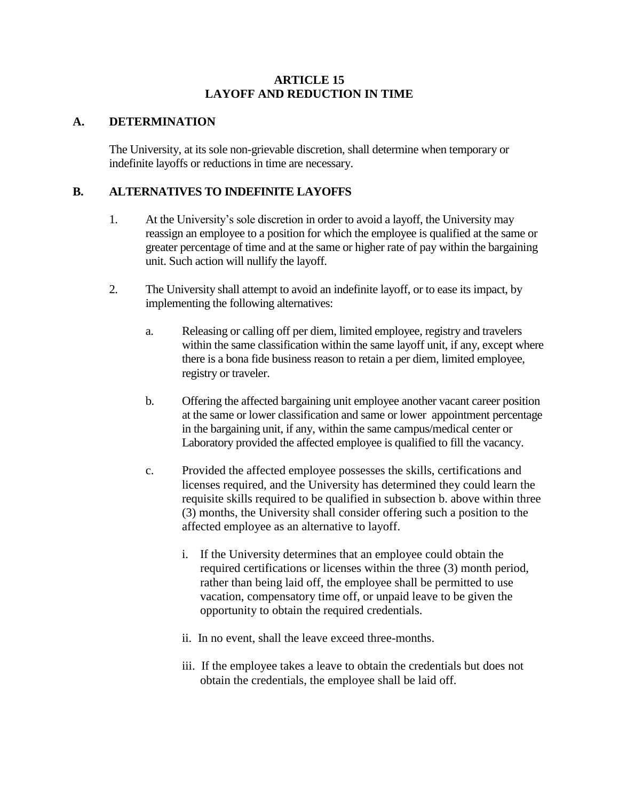### **ARTICLE 15 LAYOFF AND REDUCTION IN TIME**

### **A. DETERMINATION**

The University, at its sole non-grievable discretion, shall determine when temporary or indefinite layoffs or reductions in time are necessary.

## **B. ALTERNATIVES TO INDEFINITE LAYOFFS**

- 1. At the University's sole discretion in order to avoid a layoff, the University may reassign an employee to a position for which the employee is qualified at the same or greater percentage of time and at the same or higher rate of pay within the bargaining unit. Such action will nullify the layoff.
- 2. The University shall attempt to avoid an indefinite layoff, or to ease its impact, by implementing the following alternatives:
	- a. Releasing or calling off per diem, limited employee, registry and travelers within the same classification within the same layoff unit, if any, except where there is a bona fide business reason to retain a per diem, limited employee, registry or traveler.
	- b. Offering the affected bargaining unit employee another vacant career position at the same or lower classification and same or lower appointment percentage in the bargaining unit, if any, within the same campus/medical center or Laboratory provided the affected employee is qualified to fill the vacancy.
	- c. Provided the affected employee possesses the skills, certifications and licenses required, and the University has determined they could learn the requisite skills required to be qualified in subsection b. above within three (3) months, the University shall consider offering such a position to the affected employee as an alternative to layoff.
		- i. If the University determines that an employee could obtain the required certifications or licenses within the three (3) month period, rather than being laid off, the employee shall be permitted to use vacation, compensatory time off, or unpaid leave to be given the opportunity to obtain the required credentials.
		- ii. In no event, shall the leave exceed three-months.
		- iii. If the employee takes a leave to obtain the credentials but does not obtain the credentials, the employee shall be laid off.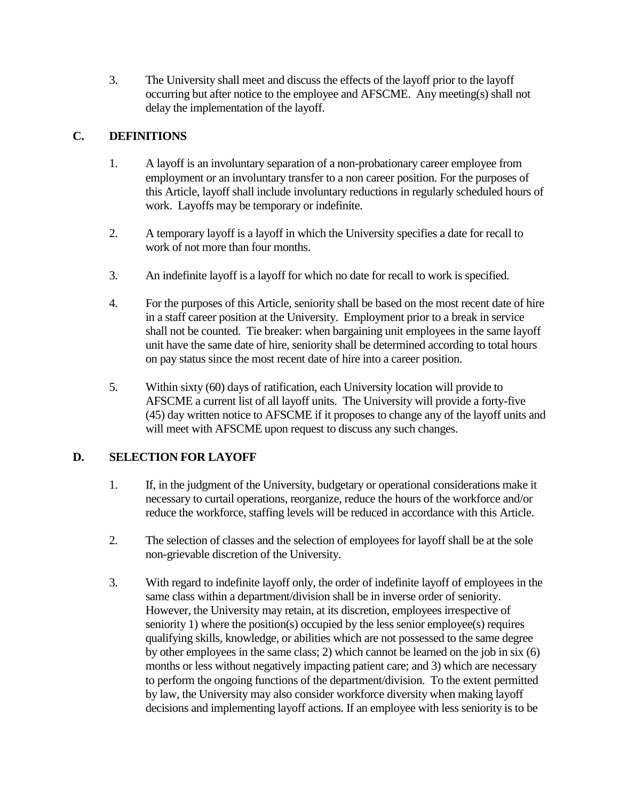3. The University shall meet and discuss the effects of the layoff prior to the layoff occurring but after notice to the employee and AFSCME. Any meeting(s) shall not delay the implementation of the layoff.

# **C. DEFINITIONS**

- 1. A layoff is an involuntary separation of a non-probationary career employee from employment or an involuntary transfer to a non career position. For the purposes of this Article, layoff shall include involuntary reductions in regularly scheduled hours of work. Layoffs may be temporary or indefinite.
- 2. A temporary layoff is a layoff in which the University specifies a date for recall to work of not more than four months.
- 3. An indefinite layoff is a layoff for which no date for recall to work is specified.
- 4. For the purposes of this Article, seniority shall be based on the most recent date of hire in a staff career position at the University. Employment prior to a break in service shall not be counted. Tie breaker: when bargaining unit employees in the same layoff unit have the same date of hire, seniority shall be determined according to total hours on pay status since the most recent date of hire into a career position.
- 5. Within sixty (60) days of ratification, each University location will provide to AFSCME a current list of all layoff units. The University will provide a forty-five (45) day written notice to AFSCME if it proposes to change any of the layoff units and will meet with AFSCME upon request to discuss any such changes.

## **D. SELECTION FOR LAYOFF**

- 1. If, in the judgment of the University, budgetary or operational considerations make it necessary to curtail operations, reorganize, reduce the hours of the workforce and/or reduce the workforce, staffing levels will be reduced in accordance with this Article.
- 2. The selection of classes and the selection of employees for layoff shall be at the sole non-grievable discretion of the University.
- 3. With regard to indefinite layoff only, the order of indefinite layoff of employees in the same class within a department/division shall be in inverse order of seniority. However, the University may retain, at its discretion, employees irrespective of seniority 1) where the position(s) occupied by the less senior employee(s) requires qualifying skills, knowledge, or abilities which are not possessed to the same degree by other employees in the same class; 2) which cannot be learned on the job in six (6) months or less without negatively impacting patient care; and 3) which are necessary to perform the ongoing functions of the department/division. To the extent permitted by law, the University may also consider workforce diversity when making layoff decisions and implementing layoff actions. If an employee with less seniority is to be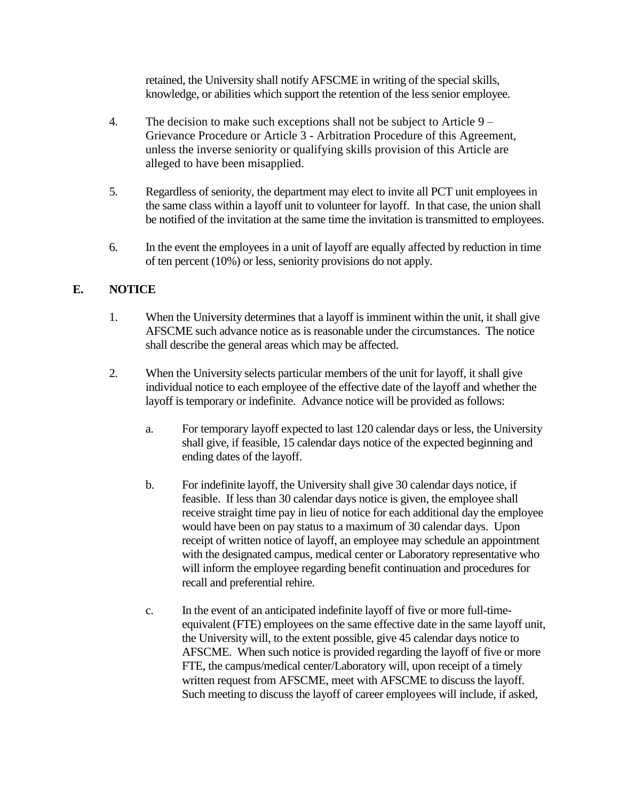retained, the University shall notify AFSCME in writing of the special skills, knowledge, or abilities which support the retention of the less senior employee.

- 4. The decision to make such exceptions shall not be subject to Article 9 Grievance Procedure or Article 3 - Arbitration Procedure of this Agreement, unless the inverse seniority or qualifying skills provision of this Article are alleged to have been misapplied.
- 5. Regardless of seniority, the department may elect to invite all PCT unit employees in the same class within a layoff unit to volunteer for layoff. In that case, the union shall be notified of the invitation at the same time the invitation is transmitted to employees.
- 6. In the event the employees in a unit of layoff are equally affected by reduction in time of ten percent (10%) or less, seniority provisions do not apply.

# **E. NOTICE**

- 1. When the University determines that a layoff is imminent within the unit, it shall give AFSCME such advance notice as is reasonable under the circumstances. The notice shall describe the general areas which may be affected.
- 2. When the University selects particular members of the unit for layoff, it shall give individual notice to each employee of the effective date of the layoff and whether the layoff is temporary or indefinite. Advance notice will be provided as follows:
	- a. For temporary layoff expected to last 120 calendar days or less, the University shall give, if feasible, 15 calendar days notice of the expected beginning and ending dates of the layoff.
	- b. For indefinite layoff, the University shall give 30 calendar days notice, if feasible. If less than 30 calendar days notice is given, the employee shall receive straight time pay in lieu of notice for each additional day the employee would have been on pay status to a maximum of 30 calendar days. Upon receipt of written notice of layoff, an employee may schedule an appointment with the designated campus, medical center or Laboratory representative who will inform the employee regarding benefit continuation and procedures for recall and preferential rehire.
	- c. In the event of an anticipated indefinite layoff of five or more full-timeequivalent (FTE) employees on the same effective date in the same layoff unit, the University will, to the extent possible, give 45 calendar days notice to AFSCME. When such notice is provided regarding the layoff of five or more FTE, the campus/medical center/Laboratory will, upon receipt of a timely written request from AFSCME, meet with AFSCME to discuss the layoff. Such meeting to discuss the layoff of career employees will include, if asked,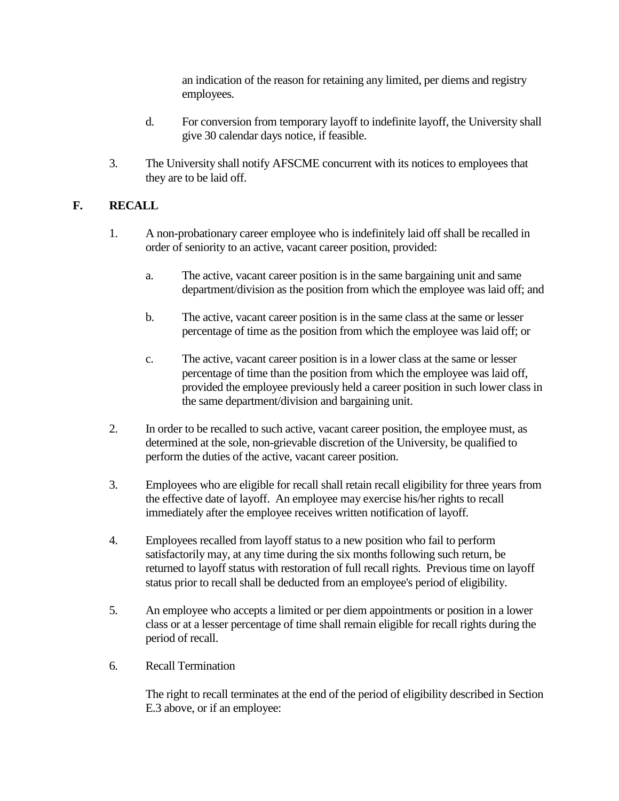an indication of the reason for retaining any limited, per diems and registry employees.

- d. For conversion from temporary layoff to indefinite layoff, the University shall give 30 calendar days notice, if feasible.
- 3. The University shall notify AFSCME concurrent with its notices to employees that they are to be laid off.

# **F. RECALL**

- 1. A non-probationary career employee who is indefinitely laid off shall be recalled in order of seniority to an active, vacant career position, provided:
	- a. The active, vacant career position is in the same bargaining unit and same department/division as the position from which the employee was laid off; and
	- b. The active, vacant career position is in the same class at the same or lesser percentage of time as the position from which the employee was laid off; or
	- c. The active, vacant career position is in a lower class at the same or lesser percentage of time than the position from which the employee was laid off, provided the employee previously held a career position in such lower class in the same department/division and bargaining unit.
- 2. In order to be recalled to such active, vacant career position, the employee must, as determined at the sole, non-grievable discretion of the University, be qualified to perform the duties of the active, vacant career position.
- 3. Employees who are eligible for recall shall retain recall eligibility for three years from the effective date of layoff. An employee may exercise his/her rights to recall immediately after the employee receives written notification of layoff.
- 4. Employees recalled from layoff status to a new position who fail to perform satisfactorily may, at any time during the six months following such return, be returned to layoff status with restoration of full recall rights. Previous time on layoff status prior to recall shall be deducted from an employee's period of eligibility.
- 5. An employee who accepts a limited or per diem appointments or position in a lower class or at a lesser percentage of time shall remain eligible for recall rights during the period of recall.
- 6. Recall Termination

The right to recall terminates at the end of the period of eligibility described in Section E.3 above, or if an employee: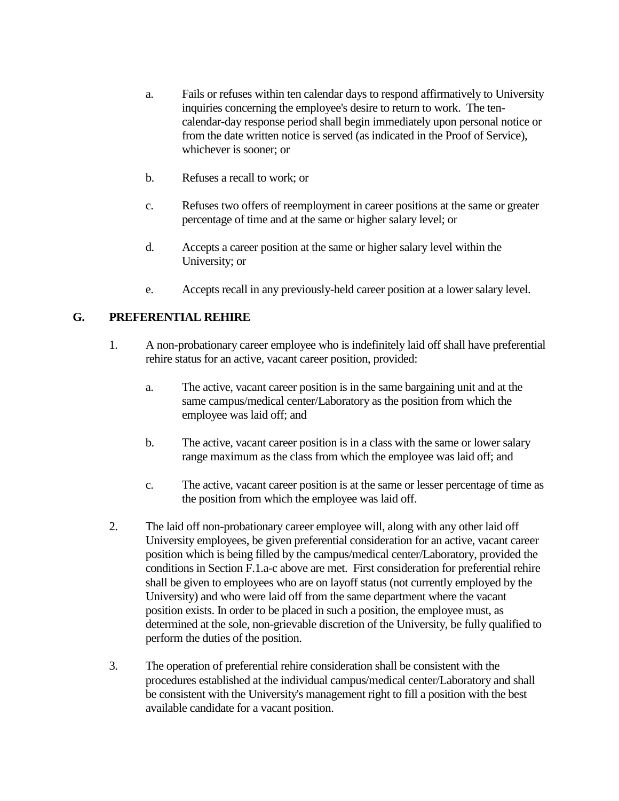- a. Fails or refuses within ten calendar days to respond affirmatively to University inquiries concerning the employee's desire to return to work. The tencalendar-day response period shall begin immediately upon personal notice or from the date written notice is served (as indicated in the Proof of Service), whichever is sooner; or
- b. Refuses a recall to work; or
- c. Refuses two offers of reemployment in career positions at the same or greater percentage of time and at the same or higher salary level; or
- d. Accepts a career position at the same or higher salary level within the University; or
- e. Accepts recall in any previously-held career position at a lower salary level.

## **G. PREFERENTIAL REHIRE**

- 1. A non-probationary career employee who is indefinitely laid off shall have preferential rehire status for an active, vacant career position, provided:
	- a. The active, vacant career position is in the same bargaining unit and at the same campus/medical center/Laboratory as the position from which the employee was laid off; and
	- b. The active, vacant career position is in a class with the same or lower salary range maximum as the class from which the employee was laid off; and
	- c. The active, vacant career position is at the same or lesser percentage of time as the position from which the employee was laid off.
- 2. The laid off non-probationary career employee will, along with any other laid off University employees, be given preferential consideration for an active, vacant career position which is being filled by the campus/medical center/Laboratory, provided the conditions in Section F.1.a-c above are met. First consideration for preferential rehire shall be given to employees who are on layoff status (not currently employed by the University) and who were laid off from the same department where the vacant position exists. In order to be placed in such a position, the employee must, as determined at the sole, non-grievable discretion of the University, be fully qualified to perform the duties of the position.
- 3. The operation of preferential rehire consideration shall be consistent with the procedures established at the individual campus/medical center/Laboratory and shall be consistent with the University's management right to fill a position with the best available candidate for a vacant position.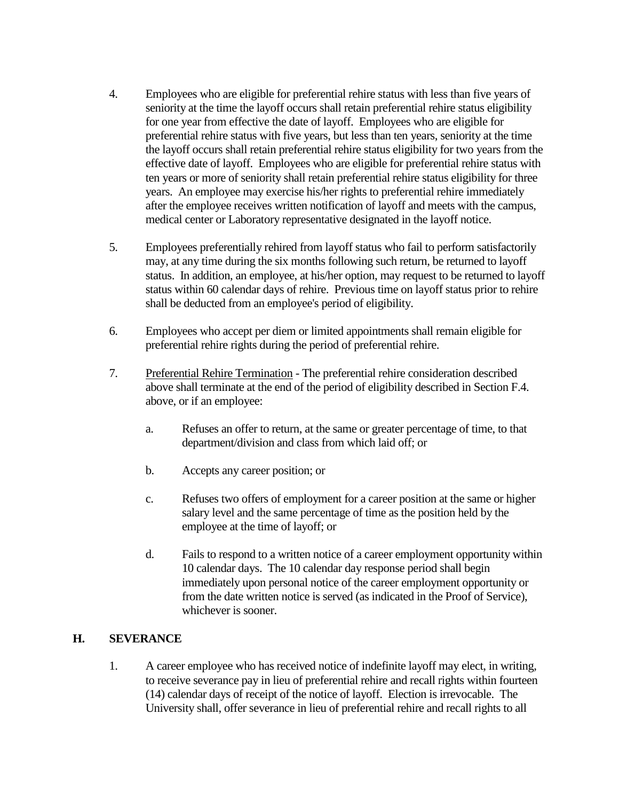- 4. Employees who are eligible for preferential rehire status with less than five years of seniority at the time the layoff occurs shall retain preferential rehire status eligibility for one year from effective the date of layoff. Employees who are eligible for preferential rehire status with five years, but less than ten years, seniority at the time the layoff occurs shall retain preferential rehire status eligibility for two years from the effective date of layoff. Employees who are eligible for preferential rehire status with ten years or more of seniority shall retain preferential rehire status eligibility for three years. An employee may exercise his/her rights to preferential rehire immediately after the employee receives written notification of layoff and meets with the campus, medical center or Laboratory representative designated in the layoff notice.
- 5. Employees preferentially rehired from layoff status who fail to perform satisfactorily may, at any time during the six months following such return, be returned to layoff status. In addition, an employee, at his/her option, may request to be returned to layoff status within 60 calendar days of rehire. Previous time on layoff status prior to rehire shall be deducted from an employee's period of eligibility.
- 6. Employees who accept per diem or limited appointments shall remain eligible for preferential rehire rights during the period of preferential rehire.
- 7. Preferential Rehire Termination The preferential rehire consideration described above shall terminate at the end of the period of eligibility described in Section F.4. above, or if an employee:
	- a. Refuses an offer to return, at the same or greater percentage of time, to that department/division and class from which laid off; or
	- b. Accepts any career position; or
	- c. Refuses two offers of employment for a career position at the same or higher salary level and the same percentage of time as the position held by the employee at the time of layoff; or
	- d. Fails to respond to a written notice of a career employment opportunity within 10 calendar days. The 10 calendar day response period shall begin immediately upon personal notice of the career employment opportunity or from the date written notice is served (as indicated in the Proof of Service), whichever is sooner.

#### **H. SEVERANCE**

1. A career employee who has received notice of indefinite layoff may elect, in writing, to receive severance pay in lieu of preferential rehire and recall rights within fourteen (14) calendar days of receipt of the notice of layoff. Election is irrevocable. The University shall, offer severance in lieu of preferential rehire and recall rights to all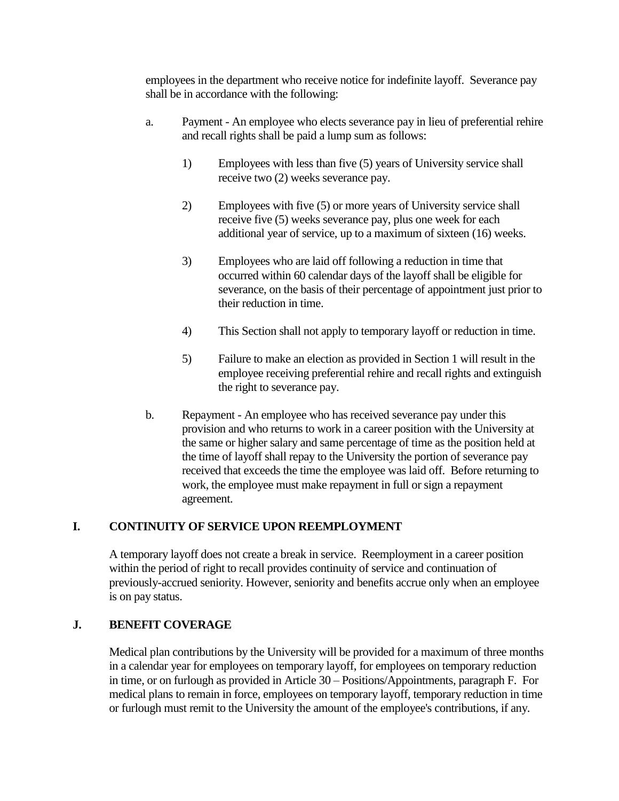employees in the department who receive notice for indefinite layoff. Severance pay shall be in accordance with the following:

- a. Payment An employee who elects severance pay in lieu of preferential rehire and recall rights shall be paid a lump sum as follows:
	- 1) Employees with less than five (5) years of University service shall receive two (2) weeks severance pay.
	- 2) Employees with five (5) or more years of University service shall receive five (5) weeks severance pay, plus one week for each additional year of service, up to a maximum of sixteen (16) weeks.
	- 3) Employees who are laid off following a reduction in time that occurred within 60 calendar days of the layoff shall be eligible for severance, on the basis of their percentage of appointment just prior to their reduction in time.
	- 4) This Section shall not apply to temporary layoff or reduction in time.
	- 5) Failure to make an election as provided in Section 1 will result in the employee receiving preferential rehire and recall rights and extinguish the right to severance pay.
- b. Repayment An employee who has received severance pay under this provision and who returns to work in a career position with the University at the same or higher salary and same percentage of time as the position held at the time of layoff shall repay to the University the portion of severance pay received that exceeds the time the employee was laid off. Before returning to work, the employee must make repayment in full or sign a repayment agreement.

## **I. CONTINUITY OF SERVICE UPON REEMPLOYMENT**

A temporary layoff does not create a break in service. Reemployment in a career position within the period of right to recall provides continuity of service and continuation of previously-accrued seniority. However, seniority and benefits accrue only when an employee is on pay status.

#### **J. BENEFIT COVERAGE**

Medical plan contributions by the University will be provided for a maximum of three months in a calendar year for employees on temporary layoff, for employees on temporary reduction in time, or on furlough as provided in Article 30 – Positions/Appointments, paragraph F. For medical plans to remain in force, employees on temporary layoff, temporary reduction in time or furlough must remit to the University the amount of the employee's contributions, if any.